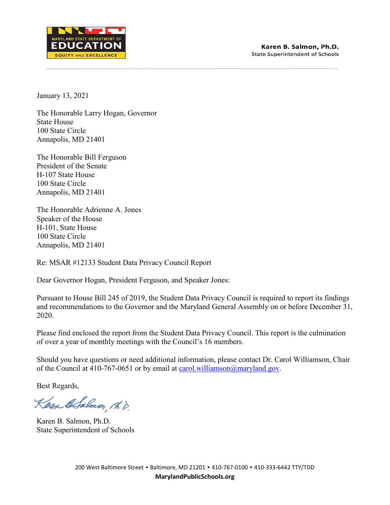

January 13, 2021

The Honorable Larry Hogan, Governor State House 100 State Circle Annapolis, MD 21401

The Honorable Bill Ferguson President of the Senate H-107 State House 100 State Circle Annapolis, MD 21401

The Honorable Adrienne A. Jones Speaker of the House H-101, State House 100 State Circle Annapolis, MD 21401

Re: MSAR #12133 Student Data Privacy Council Report

Dear Governor Hogan, President Ferguson, and Speaker Jones:

Pursuant to House Bill 245 of 2019, the Student Data Privacy Council is required to report its findings and recommendations to the Governor and the Maryland General Assembly on or before December 31, 2020.

Please find enclosed the report from the Student Data Privacy Council. This report is the culmination of over a year of monthly meetings with the Council's 16 members.

Should you have questions or need additional information, please contact Dr. Carol Williamson, Chair of the Council at 410-767-0651 or by email at [carol.williamson@maryland.gov.](mailto:carol.williamson@maryland.gov)

Best Regards,

Kaen ESalmon, A.D.

Karen B. Salmon, Ph.D. State Superintendent of Schools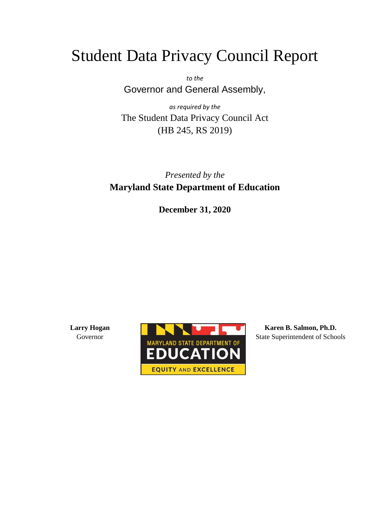# Student Data Privacy Council Report

*to the* Governor and General Assembly,

*as required by the* The Student Data Privacy Council Act (HB 245, RS 2019)

# *Presented by the* **Maryland State Department of Education**

**December 31, 2020**

**Larry Hogan** Governor



**Karen B. Salmon, Ph.D.** State Superintendent of Schools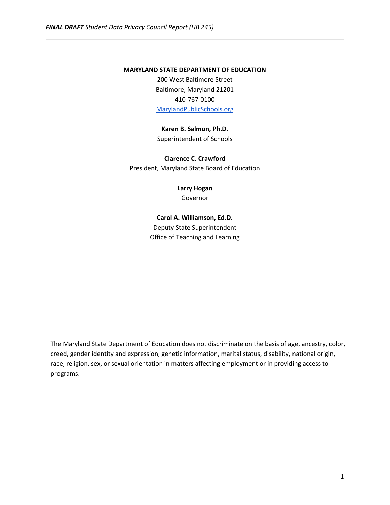### **MARYLAND STATE DEPARTMENT OF EDUCATION**

200 West Baltimore Street Baltimore, Maryland 21201 410-767-0100 [MarylandPublicSchools.org](http://marylandpublicschools.org/)

# **Karen B. Salmon, Ph.D.**

Superintendent of Schools

**Clarence C. Crawford** President, Maryland State Board of Education

**Larry Hogan**

Governor

# **Carol A. Williamson, Ed.D.**

Deputy State Superintendent Office of Teaching and Learning

The Maryland State Department of Education does not discriminate on the basis of age, ancestry, color, creed, gender identity and expression, genetic information, marital status, disability, national origin, race, religion, sex, or sexual orientation in matters affecting employment or in providing access to programs.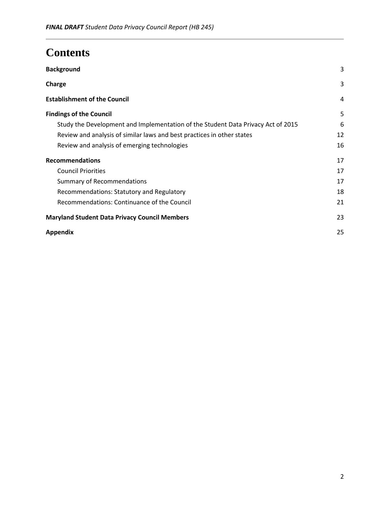# **Contents**

| <b>Background</b>                                                                | 3  |
|----------------------------------------------------------------------------------|----|
| Charge                                                                           | 3  |
| <b>Establishment of the Council</b>                                              | 4  |
| <b>Findings of the Council</b>                                                   | 5  |
| Study the Development and Implementation of the Student Data Privacy Act of 2015 | 6  |
| Review and analysis of similar laws and best practices in other states           | 12 |
| Review and analysis of emerging technologies                                     | 16 |
| <b>Recommendations</b>                                                           | 17 |
| <b>Council Priorities</b>                                                        | 17 |
| <b>Summary of Recommendations</b>                                                | 17 |
| Recommendations: Statutory and Regulatory                                        | 18 |
| Recommendations: Continuance of the Council                                      | 21 |
| <b>Maryland Student Data Privacy Council Members</b>                             | 23 |
| <b>Appendix</b>                                                                  | 25 |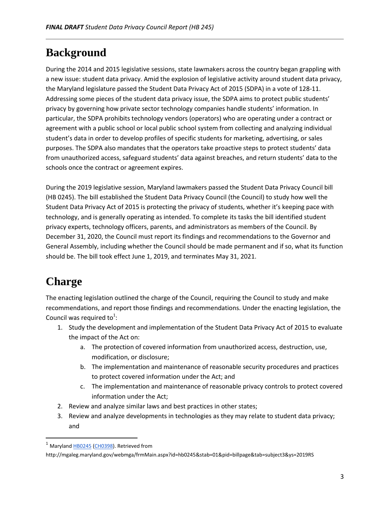# <span id="page-4-0"></span>**Background**

During the 2014 and 2015 legislative sessions, state lawmakers across the country began grappling with a new issue: student data privacy. Amid the explosion of legislative activity around student data privacy, the Maryland legislature passed the Student Data Privacy Act of 2015 (SDPA) in a vote of 128-11. Addressing some pieces of the student data privacy issue, the SDPA aims to protect public students' privacy by governing how private sector technology companies handle students' information. In particular, the SDPA prohibits technology vendors (operators) who are operating under a contract or agreement with a public school or local public school system from collecting and analyzing individual student's data in order to develop profiles of specific students for marketing, advertising, or sales purposes. The SDPA also mandates that the operators take proactive steps to protect students' data from unauthorized access, safeguard students' data against breaches, and return students' data to the schools once the contract or agreement expires.

During the 2019 legislative session, Maryland lawmakers passed the Student Data Privacy Council bill (HB 0245). The bill established the Student Data Privacy Council (the Council) to study how well the Student Data Privacy Act of 2015 is protecting the privacy of students, whether it's keeping pace with technology, and is generally operating as intended. To complete its tasks the bill identified student privacy experts, technology officers, parents, and administrators as members of the Council. By December 31, 2020, the Council must report its findings and recommendations to the Governor and General Assembly, including whether the Council should be made permanent and if so, what its function should be. The bill took effect June 1, 2019, and terminates May 31, 2021.

# <span id="page-4-1"></span>**Charge**

l

The enacting legislation outlined the charge of the Council, requiring the Council to study and make recommendations, and report those findings and recommendations. Under the enacting legislation, the Council was required to<sup>1</sup>:

- 1. Study the development and implementation of the Student Data Privacy Act of 2015 to evaluate the impact of the Act on:
	- a. The protection of covered information from unauthorized access, destruction, use, modification, or disclosure;
	- b. The implementation and maintenance of reasonable security procedures and practices to protect covered information under the Act; and
	- c. The implementation and maintenance of reasonable privacy controls to protect covered information under the Act;
- 2. Review and analyze similar laws and best practices in other states;
- 3. Review and analyze developments in technologies as they may relate to student data privacy; and

<sup>&</sup>lt;sup>1</sup> Maryland [HB0245](http://mgaleg.maryland.gov/2019RS/bills/hb/hb0245E.pdf) [\(CH0398\)](http://mgaleg.maryland.gov/2019RS/chapters_noln/Ch_398_hb0245E.pdf). Retrieved from

http://mgaleg.maryland.gov/webmga/frmMain.aspx?id=hb0245&stab=01&pid=billpage&tab=subject3&ys=2019RS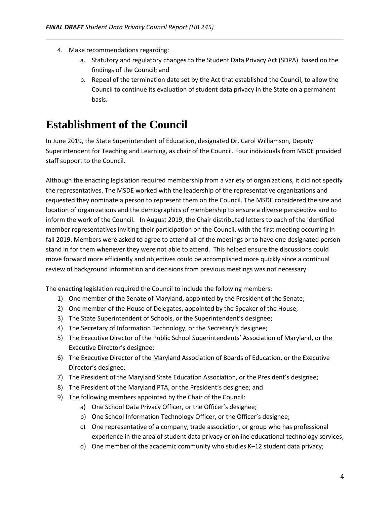- 4. Make recommendations regarding:
	- a. Statutory and regulatory changes to the Student Data Privacy Act (SDPA) based on the findings of the Council; and
	- b. Repeal of the termination date set by the Act that established the Council, to allow the Council to continue its evaluation of student data privacy in the State on a permanent basis.

# <span id="page-5-0"></span>**Establishment of the Council**

In June 2019, the State Superintendent of Education, designated Dr. Carol Williamson, Deputy Superintendent for Teaching and Learning, as chair of the Council. Four individuals from MSDE provided staff support to the Council.

Although the enacting legislation required membership from a variety of organizations, it did not specify the representatives. The MSDE worked with the leadership of the representative organizations and requested they nominate a person to represent them on the Council. The MSDE considered the size and location of organizations and the demographics of membership to ensure a diverse perspective and to inform the work of the Council. In August 2019, the Chair distributed letters to each of the identified member representatives inviting their participation on the Council, with the first meeting occurring in fall 2019. Members were asked to agree to attend all of the meetings or to have one designated person stand in for them whenever they were not able to attend. This helped ensure the discussions could move forward more efficiently and objectives could be accomplished more quickly since a continual review of background information and decisions from previous meetings was not necessary.

The enacting legislation required the Council to include the following members:

- 1) One member of the Senate of Maryland, appointed by the President of the Senate;
- 2) One member of the House of Delegates, appointed by the Speaker of the House;
- 3) The State Superintendent of Schools, or the Superintendent's designee;
- 4) The Secretary of Information Technology, or the Secretary's designee;
- 5) The Executive Director of the Public School Superintendents' Association of Maryland, or the Executive Director's designee;
- 6) The Executive Director of the Maryland Association of Boards of Education, or the Executive Director's designee;
- 7) The President of the Maryland State Education Association, or the President's designee;
- 8) The President of the Maryland PTA, or the President's designee; and
- 9) The following members appointed by the Chair of the Council:
	- a) One School Data Privacy Officer, or the Officer's designee;
	- b) One School Information Technology Officer, or the Officer's designee;
	- c) One representative of a company, trade association, or group who has professional experience in the area of student data privacy or online educational technology services;
	- d) One member of the academic community who studies K–12 student data privacy;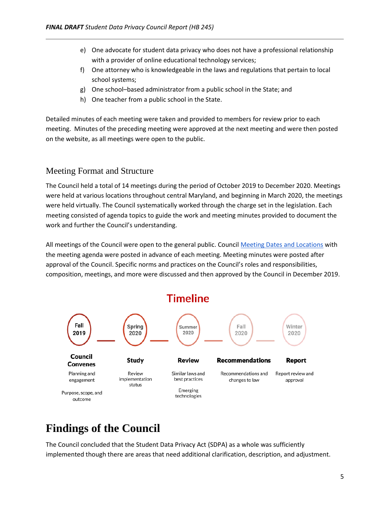- e) One advocate for student data privacy who does not have a professional relationship with a provider of online educational technology services;
- f) One attorney who is knowledgeable in the laws and regulations that pertain to local school systems;
- g) One school–based administrator from a public school in the State; and
- h) One teacher from a public school in the State.

Detailed minutes of each meeting were taken and provided to members for review prior to each meeting. Minutes of the preceding meeting were approved at the next meeting and were then posted on the website, as all meetings were open to the public.

# Meeting Format and Structure

The Council held a total of 14 meetings during the period of October 2019 to December 2020. Meetings were held at various locations throughout central Maryland, and beginning in March 2020, the meetings were held virtually. The Council systematically worked through the charge set in the legislation. Each meeting consisted of agenda topics to guide the work and meeting minutes provided to document the work and further the Council's understanding.

All meetings of the Council were open to the general public. Counci[l Meeting Dates and Locations](http://www.marylandpublicschools.org/about/Pages/SDPC/meetings.aspx) with the meeting agenda were posted in advance of each meeting. Meeting minutes were posted after approval of the Council. Specific norms and practices on the Council's roles and responsibilities, composition, meetings, and more were discussed and then approved by the Council in December 2019.



# <span id="page-6-0"></span>**Findings of the Council**

The Council concluded that the Student Data Privacy Act (SDPA) as a whole was sufficiently implemented though there are areas that need additional clarification, description, and adjustment.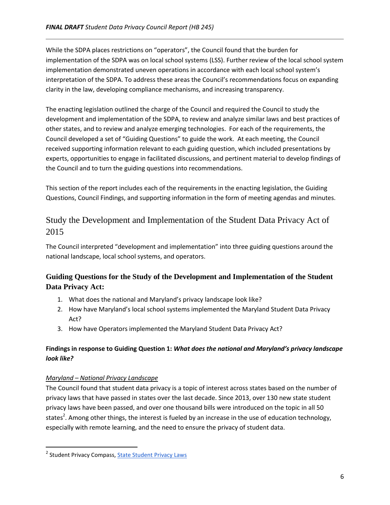While the SDPA places restrictions on "operators", the Council found that the burden for implementation of the SDPA was on local school systems (LSS). Further review of the local school system implementation demonstrated uneven operations in accordance with each local school system's interpretation of the SDPA. To address these areas the Council's recommendations focus on expanding clarity in the law, developing compliance mechanisms, and increasing transparency.

The enacting legislation outlined the charge of the Council and required the Council to study the development and implementation of the SDPA, to review and analyze similar laws and best practices of other states, and to review and analyze emerging technologies. For each of the requirements, the Council developed a set of "Guiding Questions" to guide the work. At each meeting, the Council received supporting information relevant to each guiding question, which included presentations by experts, opportunities to engage in facilitated discussions, and pertinent material to develop findings of the Council and to turn the guiding questions into recommendations.

This section of the report includes each of the requirements in the enacting legislation, the Guiding Questions, Council Findings, and supporting information in the form of meeting agendas and minutes.

# <span id="page-7-0"></span>Study the Development and Implementation of the Student Data Privacy Act of 2015

The Council interpreted "development and implementation" into three guiding questions around the national landscape, local school systems, and operators.

# **Guiding Questions for the Study of the Development and Implementation of the Student Data Privacy Act:**

- 1. What does the national and Maryland's privacy landscape look like?
- 2. How have Maryland's local school systems implemented the Maryland Student Data Privacy Act?
- 3. How have Operators implemented the Maryland Student Data Privacy Act?

# **Findings in response to Guiding Question 1:** *What does the national and Maryland's privacy landscape look like?*

# *Maryland – National Privacy Landscape*

 $\overline{\phantom{a}}$ 

The Council found that student data privacy is a topic of interest across states based on the number of privacy laws that have passed in states over the last decade. Since 2013, over 130 new state student privacy laws have been passed, and over one thousand bills were introduced on the topic in all 50 states<sup>2</sup>. Among other things, the interest is fueled by an increase in the use of education technology, especially with remote learning, and the need to ensure the privacy of student data.

<sup>&</sup>lt;sup>2</sup> Student Privacy Compass, <u>State Student Privacy Laws</u>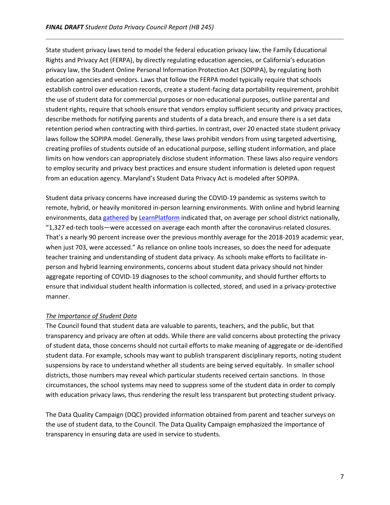State student privacy laws tend to model the federal education privacy law, the Family Educational Rights and Privacy Act (FERPA), by directly regulating education agencies, or California's education privacy law, the Student Online Personal Information Protection Act (SOPIPA), by regulating both education agencies and vendors. Laws that follow the FERPA model typically require that schools establish control over education records, create a student-facing data portability requirement, prohibit the use of student data for commercial purposes or non-educational purposes, outline parental and student rights, require that schools ensure that vendors employ sufficient security and privacy practices, describe methods for notifying parents and students of a data breach, and ensure there is a set data retention period when contracting with third-parties. In contrast, over 20 enacted state student privacy laws follow the SOPIPA model. Generally, these laws prohibit vendors from using targeted advertising, creating profiles of students outside of an educational purpose, selling student information, and place limits on how vendors can appropriately disclose student information. These laws also require vendors to employ security and privacy best practices and ensure student information is deleted upon request from an education agency. Maryland's Student Data Privacy Act is modeled after SOPIPA.

Student data privacy concerns have increased during the COVID-19 pandemic as systems switch to remote, hybrid, or heavily monitored in-person learning environments. With online and hybrid learning environments, data [gathered](https://marketbrief.edweek.org/marketplace-k-12/access-ed-tech-tools-jumped-90-percent-since-school-closures/) by [LearnPlatform](https://learnplatform.com/) indicated that, on average per school district nationally, "1,327 ed-tech tools—were accessed on average each month after the coronavirus-related closures. That's a nearly 90 percent increase over the previous monthly average for the 2018-2019 academic year, when just 703, were accessed." As reliance on online tools increases, so does the need for adequate teacher training and understanding of student data privacy. As schools make efforts to facilitate inperson and hybrid learning environments, concerns about student data privacy should not hinder aggregate reporting of COVID-19 diagnoses to the school community, and should further efforts to ensure that individual student health information is collected, stored, and used in a privacy-protective manner.

# *The Importance of Student Data*

The Council found that student data are valuable to parents, teachers, and the public, but that transparency and privacy are often at odds. While there are valid concerns about protecting the privacy of student data, those concerns should not curtail efforts to make meaning of aggregate or de-identified student data. For example, schools may want to publish transparent disciplinary reports, noting student suspensions by race to understand whether all students are being served equitably. In smaller school districts, those numbers may reveal which particular students received certain sanctions. In those circumstances, the school systems may need to suppress some of the student data in order to comply with education privacy laws, thus rendering the result less transparent but protecting student privacy.

The Data Quality Campaign (DQC) provided information obtained from parent and teacher surveys on the use of student data, to the Council. The Data Quality Campaign emphasized the importance of transparency in ensuring data are used in service to students.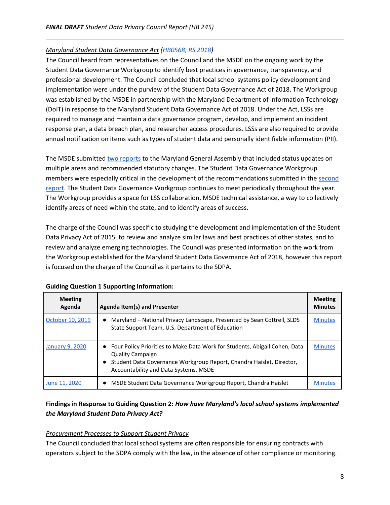## *Maryland Student Data Governance Act [\(HB0568, RS 2018\)](http://mgaleg.maryland.gov/mgawebsite/Legislation/Details/HB0568/?ys=2018rs)*

The Council heard from representatives on the Council and the MSDE on the ongoing work by the Student Data Governance Workgroup to identify best practices in governance, transparency, and professional development. The Council concluded that local school systems policy development and implementation were under the purview of the Student Data Governance Act of 2018. The Workgroup was established by the MSDE in partnership with the Maryland Department of Information Technology (DoIT) in response to the Maryland Student Data Governance Act of 2018. Under the Act, LSSs are required to manage and maintain a data governance program, develop, and implement an incident response plan, a data breach plan, and researcher access procedures. LSSs are also required to provide annual notification on items such as types of student data and personally identifiable information (PII).

The MSDE submitte[d two reports](https://mlsd.ent.sirsi.net/client/en_US/default/search/results?qu=Pursuant+to+HB+568+and%2For+Chapter+381%2C+2018.) to the Maryland General Assembly that included status updates on multiple areas and recommended statutory changes. The Student Data Governance Workgroup members were especially critical in the development of the recommendations submitted in the [second](https://mlsd.ent.sirsi.net/client/en_US/default/search/detailnonmodal/ent:$002f$002fSD_ILS$002f0$002fSD_ILS:53716/email?qu=Pursuant+to+HB+568+and%2For+Chapter+381%2C+2018.)  [report.](https://mlsd.ent.sirsi.net/client/en_US/default/search/detailnonmodal/ent:$002f$002fSD_ILS$002f0$002fSD_ILS:53716/email?qu=Pursuant+to+HB+568+and%2For+Chapter+381%2C+2018.) The Student Data Governance Workgroup continues to meet periodically throughout the year. The Workgroup provides a space for LSS collaboration, MSDE technical assistance, a way to collectively identify areas of need within the state, and to identify areas of success.

The charge of the Council was specific to studying the development and implementation of the Student Data Privacy Act of 2015, to review and analyze similar laws and best practices of other states, and to review and analyze emerging technologies. The Council was presented information on the work from the Workgroup established for the Maryland Student Data Governance Act of 2018, however this report is focused on the charge of the Council as it pertains to the SDPA.

| <b>Meeting</b><br>Agenda | <b>Agenda Item(s) and Presenter</b>                                                                                                                                                                                                   | <b>Meeting</b><br><b>Minutes</b> |
|--------------------------|---------------------------------------------------------------------------------------------------------------------------------------------------------------------------------------------------------------------------------------|----------------------------------|
| October 10, 2019         | Maryland – National Privacy Landscape, Presented by Sean Cottrell, SLDS<br>$\bullet$<br>State Support Team, U.S. Department of Education                                                                                              | <b>Minutes</b>                   |
| January 9, 2020          | • Four Policy Priorities to Make Data Work for Students, Abigail Cohen, Data<br><b>Quality Campaign</b><br>Student Data Governance Workgroup Report, Chandra Haislet, Director,<br>$\bullet$<br>Accountability and Data Systems, MSDE | <b>Minutes</b>                   |
| June 11, 2020            | MSDE Student Data Governance Workgroup Report, Chandra Haislet<br>$\bullet$                                                                                                                                                           | <b>Minutes</b>                   |

### **Guiding Question 1 Supporting Information:**

# **Findings in Response to Guiding Question 2:** *How have Maryland's local school systems implemented the Maryland Student Data Privacy Act?*

### *Procurement Processes to Support Student Privacy*

The Council concluded that local school systems are often responsible for ensuring contracts with operators subject to the SDPA comply with the law, in the absence of other compliance or monitoring.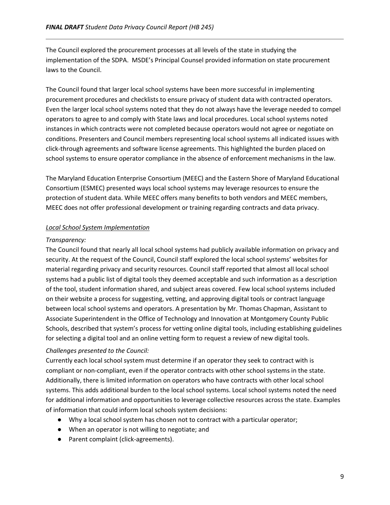The Council explored the procurement processes at all levels of the state in studying the implementation of the SDPA. MSDE's Principal Counsel provided information on state procurement laws to the Council.

The Council found that larger local school systems have been more successful in implementing procurement procedures and checklists to ensure privacy of student data with contracted operators. Even the larger local school systems noted that they do not always have the leverage needed to compel operators to agree to and comply with State laws and local procedures. Local school systems noted instances in which contracts were not completed because operators would not agree or negotiate on conditions. Presenters and Council members representing local school systems all indicated issues with click-through agreements and software license agreements. This highlighted the burden placed on school systems to ensure operator compliance in the absence of enforcement mechanisms in the law.

The Maryland Education Enterprise Consortium (MEEC) and the Eastern Shore of Maryland Educational Consortium (ESMEC) presented ways local school systems may leverage resources to ensure the protection of student data. While MEEC offers many benefits to both vendors and MEEC members, MEEC does not offer professional development or training regarding contracts and data privacy.

## *Local School System Implementation*

## *Transparency:*

The Council found that nearly all local school systems had publicly available information on privacy and security. At the request of the Council, Council staff explored the local school systems' websites for material regarding privacy and security resources. Council staff reported that almost all local school systems had a public list of digital tools they deemed acceptable and such information as a description of the tool, student information shared, and subject areas covered. Few local school systems included on their website a process for suggesting, vetting, and approving digital tools or contract language between local school systems and operators. A presentation by Mr. Thomas Chapman, Assistant to Associate Superintendent in the Office of Technology and Innovation at Montgomery County Public Schools, described that system's process for vetting online digital tools, including establishing guidelines for selecting a digital tool and an online vetting form to request a review of new digital tools.

# *Challenges presented to the Council:*

Currently each local school system must determine if an operator they seek to contract with is compliant or non-compliant, even if the operator contracts with other school systems in the state. Additionally, there is limited information on operators who have contracts with other local school systems. This adds additional burden to the local school systems. Local school systems noted the need for additional information and opportunities to leverage collective resources across the state. Examples of information that could inform local schools system decisions:

- Why a local school system has chosen not to contract with a particular operator;
- When an operator is not willing to negotiate; and
- Parent complaint (click-agreements).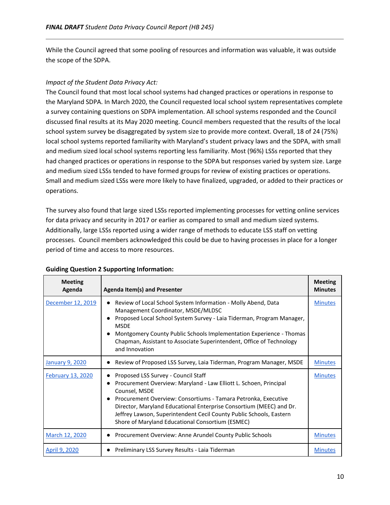While the Council agreed that some pooling of resources and information was valuable, it was outside the scope of the SDPA.

### *Impact of the Student Data Privacy Act:*

The Council found that most local school systems had changed practices or operations in response to the Maryland SDPA. In March 2020, the Council requested local school system representatives complete a survey containing questions on SDPA implementation. All school systems responded and the Council discussed final results at its May 2020 meeting. Council members requested that the results of the local school system survey be disaggregated by system size to provide more context. Overall, 18 of 24 (75%) local school systems reported familiarity with Maryland's student privacy laws and the SDPA, with small and medium sized local school systems reporting less familiarity. Most (96%) LSSs reported that they had changed practices or operations in response to the SDPA but responses varied by system size. Large and medium sized LSSs tended to have formed groups for review of existing practices or operations. Small and medium sized LSSs were more likely to have finalized, upgraded, or added to their practices or operations.

The survey also found that large sized LSSs reported implementing processes for vetting online services for data privacy and security in 2017 or earlier as compared to small and medium sized systems. Additionally, large LSSs reported using a wider range of methods to educate LSS staff on vetting processes. Council members acknowledged this could be due to having processes in place for a longer period of time and access to more resources.

| <b>Meeting</b><br>Agenda | <b>Agenda Item(s) and Presenter</b>                                                                                                                                                                                                                                                                                                                                                           | <b>Meeting</b><br><b>Minutes</b> |
|--------------------------|-----------------------------------------------------------------------------------------------------------------------------------------------------------------------------------------------------------------------------------------------------------------------------------------------------------------------------------------------------------------------------------------------|----------------------------------|
| December 12, 2019        | Review of Local School System Information - Molly Abend, Data<br>Management Coordinator, MSDE/MLDSC<br>Proposed Local School System Survey - Laia Tiderman, Program Manager,<br><b>MSDE</b><br>Montgomery County Public Schools Implementation Experience - Thomas<br>Chapman, Assistant to Associate Superintendent, Office of Technology<br>and Innovation                                  | <b>Minutes</b>                   |
| January 9, 2020          | Review of Proposed LSS Survey, Laia Tiderman, Program Manager, MSDE                                                                                                                                                                                                                                                                                                                           | <b>Minutes</b>                   |
| <b>February 13, 2020</b> | Proposed LSS Survey - Council Staff<br>Procurement Overview: Maryland - Law Elliott L. Schoen, Principal<br>Counsel, MSDE<br>Procurement Overview: Consortiums - Tamara Petronka, Executive<br>Director, Maryland Educational Enterprise Consortium (MEEC) and Dr.<br>Jeffrey Lawson, Superintendent Cecil County Public Schools, Eastern<br>Shore of Maryland Educational Consortium (ESMEC) | <b>Minutes</b>                   |
| March 12, 2020           | Procurement Overview: Anne Arundel County Public Schools                                                                                                                                                                                                                                                                                                                                      | <b>Minutes</b>                   |
| April 9, 2020            | Preliminary LSS Survey Results - Laia Tiderman                                                                                                                                                                                                                                                                                                                                                | <b>Minutes</b>                   |

### **Guiding Question 2 Supporting Information:**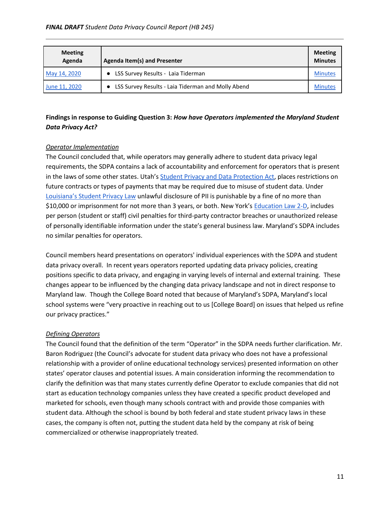| <b>Meeting</b><br>Agenda | <b>Agenda Item(s) and Presenter</b>                | <b>Meeting</b><br><b>Minutes</b> |
|--------------------------|----------------------------------------------------|----------------------------------|
| May 14, 2020             | LSS Survey Results - Laia Tiderman                 | <b>Minutes</b>                   |
| June 11, 2020            | LSS Survey Results - Laia Tiderman and Molly Abend | <b>Minutes</b>                   |

# **Findings in response to Guiding Question 3:** *How have Operators implemented the Maryland Student Data Privacy Act?*

## *Operator Implementation*

The Council concluded that, while operators may generally adhere to student data privacy legal requirements, the SDPA contains a lack of accountability and enforcement for operators that is present in the laws of some other states. Utah's [Student Privacy and Data Protection Act,](https://le.utah.gov/xcode/Title53E/Chapter9/C53E-9_2018012420180124.pdf) places restrictions on future contracts or types of payments that may be required due to misuse of student data. Under [Louisiana's Student Privac](https://legis.la.gov/Legis/Law.aspx?d=920124)y Law unlawful disclosure of PII is punishable by a fine of no more than \$10,000 or imprisonment for not more than 3 years, or both. New York's [Education Law 2-D,](https://www.nysenate.gov/legislation/laws/EDN/2-D) includes per person (student or staff) civil penalties for third-party contractor breaches or unauthorized release of personally identifiable information under the state's general business law. Maryland's SDPA includes no similar penalties for operators.

Council members heard presentations on operators' individual experiences with the SDPA and student data privacy overall. In recent years operators reported updating data privacy policies, creating positions specific to data privacy, and engaging in varying levels of internal and external training. These changes appear to be influenced by the changing data privacy landscape and not in direct response to Maryland law. Though the College Board noted that because of Maryland's SDPA, Maryland's local school systems were "very proactive in reaching out to us [College Board] on issues that helped us refine our privacy practices."

### *Defining Operators*

The Council found that the definition of the term "Operator" in the SDPA needs further clarification. Mr. Baron Rodriguez (the Council's advocate for student data privacy who does not have a professional relationship with a provider of online educational technology services) presented information on other states' operator clauses and potential issues. A main consideration informing the recommendation to clarify the definition was that many states currently define Operator to exclude companies that did not start as education technology companies unless they have created a specific product developed and marketed for schools, even though many schools contract with and provide those companies with student data. Although the school is bound by both federal and state student privacy laws in these cases, the company is often not, putting the student data held by the company at risk of being commercialized or otherwise inappropriately treated.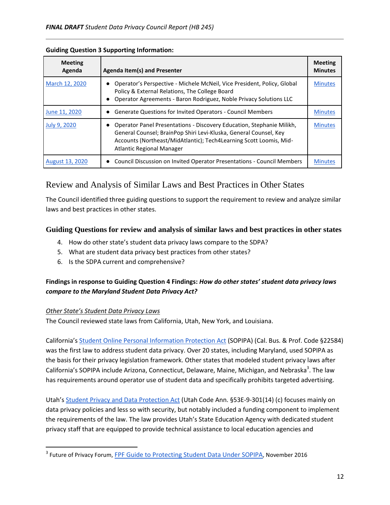| <b>Meeting</b><br>Agenda | <b>Agenda Item(s) and Presenter</b>                                                                                                                                                                                                                  | <b>Meeting</b><br><b>Minutes</b> |
|--------------------------|------------------------------------------------------------------------------------------------------------------------------------------------------------------------------------------------------------------------------------------------------|----------------------------------|
| March 12, 2020           | Operator's Perspective - Michele McNeil, Vice President, Policy, Global<br>Policy & External Relations, The College Board<br>Operator Agreements - Baron Rodriguez, Noble Privacy Solutions LLC                                                      | <b>Minutes</b>                   |
| June 11, 2020            | <b>Generate Questions for Invited Operators - Council Members</b>                                                                                                                                                                                    | <b>Minutes</b>                   |
| July 9, 2020             | Operator Panel Presentations - Discovery Education, Stephanie Milikh,<br>General Counsel; BrainPop Shiri Levi-Kluska, General Counsel, Key<br>Accounts (Northeast/MidAtlantic); Tech4Learning Scott Loomis, Mid-<br><b>Atlantic Regional Manager</b> | <b>Minutes</b>                   |
| <b>August 13, 2020</b>   | Council Discussion on Invited Operator Presentations - Council Members                                                                                                                                                                               | <b>Minutes</b>                   |

## **Guiding Question 3 Supporting Information:**

# <span id="page-13-0"></span>Review and Analysis of Similar Laws and Best Practices in Other States

The Council identified three guiding questions to support the requirement to review and analyze similar laws and best practices in other states.

# **Guiding Questions for review and analysis of similar laws and best practices in other states**

- 4. How do other state's student data privacy laws compare to the SDPA?
- 5. What are student data privacy best practices from other states?
- 6. Is the SDPA current and comprehensive?

# **Findings in response to Guiding Question 4 Findings:** *How do other states' student data privacy laws compare to the Maryland Student Data Privacy Act?*

# *Other State's Student Data Privacy Laws*

 $\overline{\phantom{a}}$ 

The Council reviewed state laws from California, Utah, New York, and Louisiana.

California's [Student Online Personal Information Protection Act](http://www.leginfo.ca.gov/pub/13-14/bill/sen/sb_1151-1200/sb_1177_bill_20140610_amended_asm_v96.htm) (SOPIPA) (Cal. Bus. & Prof. Code §22584) was the first law to address student data privacy. Over 20 states, including Maryland, used SOPIPA as the basis for their privacy legislation framework. Other states that modeled student privacy laws after California's SOPIPA include Arizona, Connecticut, Delaware, Maine, Michigan, and Nebraska<sup>3</sup>. The law has requirements around operator use of student data and specifically prohibits targeted advertising.

Utah's [Student Privacy and Data Protection Act](https://le.utah.gov/xcode/Title53E/Chapter9/C53E-9_2018012420180124.pdf) (Utah Code Ann. §53E-9-301(14) (c) focuses mainly on data privacy policies and less so with security, but notably included a funding component to implement the requirements of the law. The law provides Utah's State Education Agency with dedicated student privacy staff that are equipped to provide technical assistance to local education agencies and

<sup>&</sup>lt;sup>3</sup> Future of Privacy Forum, EPF Guide to Protecting Student Data Under SOPIPA, November 2016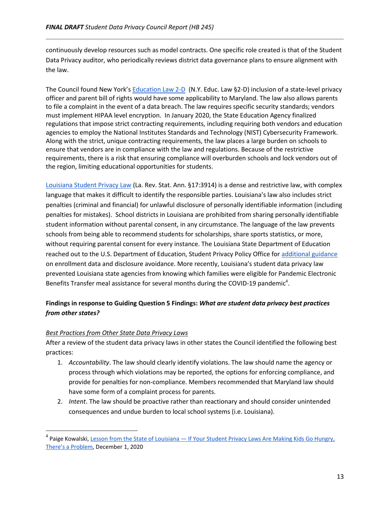continuously develop resources such as model contracts. One specific role created is that of the Student Data Privacy auditor, who periodically reviews district data governance plans to ensure alignment with the law.

The Council found New York's [Education Law 2-D](https://www.nysenate.gov/legislation/laws/EDN/2-D) (N.Y. Educ. Law §2-D) inclusion of a state-level privacy officer and parent bill of rights would have some applicability to Maryland. The law also allows parents to file a complaint in the event of a data breach. The law requires specific security standards; vendors must implement HIPAA level encryption. In January 2020, the State Education Agency finalized regulations that impose strict contracting requirements, including requiring both vendors and education agencies to employ the National Institutes Standards and Technology (NIST) Cybersecurity Framework. Along with the strict, unique contracting requirements, the law places a large burden on schools to ensure that vendors are in compliance with the law and regulations. Because of the restrictive requirements, there is a risk that ensuring compliance will overburden schools and lock vendors out of the region, limiting educational opportunities for students.

[Louisiana Student Privacy Law](https://legis.la.gov/Legis/Law.aspx?d=920124) (La. Rev. Stat. Ann. §17:3914) is a dense and restrictive law, with complex language that makes it difficult to identify the responsible parties. Louisiana's law also includes strict penalties (criminal and financial) for unlawful disclosure of personally identifiable information (including penalties for mistakes). School districts in Louisiana are prohibited from sharing personally identifiable student information without parental consent, in any circumstance. The language of the law prevents schools from being able to recommend students for scholarships, share sports statistics, or more, without requiring parental consent for every instance. The Louisiana State Department of Education reached out to the U.S. Department of Education, Student Privacy Policy Office for [additional guidance](https://studentprivacy.ed.gov/sites/default/files/resource_document/file/ED%20OCPO%20Response%20to%20Louisiana%20-%202016-04-21_508_0.pdf) on enrollment data and disclosure avoidance. More recently, Louisiana's student data privacy law prevented Louisiana state agencies from knowing which families were eligible for Pandemic Electronic Benefits Transfer meal assistance for several months during the COVID-19 pandemic<sup>4</sup>.

# **Findings in response to Guiding Question 5 Findings:** *What are student data privacy best practices from other states?*

# *Best Practices from Other State Data Privacy Laws*

l

After a review of the student data privacy laws in other states the Council identified the following best practices:

- 1. *Accountability*. The law should clearly identify violations. The law should name the agency or process through which violations may be reported, the options for enforcing compliance, and provide for penalties for non-compliance. Members recommended that Maryland law should have some form of a complaint process for parents.
- 2. *Intent*. The law should be proactive rather than reactionary and should consider unintended consequences and undue burden to local school systems (i.e. Louisiana).

<sup>&</sup>lt;sup>4</sup> Paige Kowalski, <u>Lesson from the State of Louisiana — If Your Student Privacy Laws Are Making Kids Go Hungry,</u> [There's a Problem](https://www.the74million.org/article/kowalski-lesson-from-the-state-of-louisiana-if-your-student-privacy-laws-are-making-kids-go-hungry-theres-a-problem/), December 1, 2020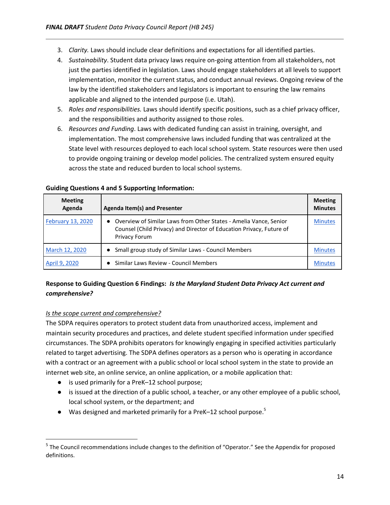- 3. *Clarity.* Laws should include clear definitions and expectations for all identified parties.
- 4. *Sustainability*. Student data privacy laws require on-going attention from all stakeholders, not just the parties identified in legislation. Laws should engage stakeholders at all levels to support implementation, monitor the current status, and conduct annual reviews. Ongoing review of the law by the identified stakeholders and legislators is important to ensuring the law remains applicable and aligned to the intended purpose (i.e. Utah).
- 5. *Roles and responsibilities.* Laws should identify specific positions, such as a chief privacy officer, and the responsibilities and authority assigned to those roles.
- 6. *Resources and Funding*. Laws with dedicated funding can assist in training, oversight, and implementation. The most comprehensive laws included funding that was centralized at the State level with resources deployed to each local school system. State resources were then used to provide ongoing training or develop model policies. The centralized system ensured equity across the state and reduced burden to local school systems.

| <b>Meeting</b><br>Agenda | <b>Agenda Item(s) and Presenter</b>                                                                                                                                 | <b>Meeting</b><br><b>Minutes</b> |
|--------------------------|---------------------------------------------------------------------------------------------------------------------------------------------------------------------|----------------------------------|
| February 13, 2020        | • Overview of Similar Laws from Other States - Amelia Vance, Senior<br>Counsel (Child Privacy) and Director of Education Privacy, Future of<br><b>Privacy Forum</b> | <b>Minutes</b>                   |
| March 12, 2020           | Small group study of Similar Laws - Council Members<br>$\bullet$                                                                                                    | <b>Minutes</b>                   |
| April 9, 2020            | Similar Laws Review - Council Members                                                                                                                               |                                  |

### **Guiding Questions 4 and 5 Supporting Information:**

# **Response to Guiding Question 6 Findings:** *Is the Maryland Student Data Privacy Act current and comprehensive?*

### *Is the scope current and comprehensive?*

 $\overline{\phantom{a}}$ 

The SDPA requires operators to protect student data from unauthorized access, implement and maintain security procedures and practices, and delete student specified information under specified circumstances. The SDPA prohibits operators for knowingly engaging in specified activities particularly related to target advertising. The SDPA defines operators as a person who is operating in accordance with a contract or an agreement with a public school or local school system in the state to provide an internet web site, an online service, an online application, or a mobile application that:

- is used primarily for a PreK-12 school purpose;
- is issued at the direction of a public school, a teacher, or any other employee of a public school, local school system, or the department; and
- $\bullet$  Was designed and marketed primarily for a PreK–12 school purpose.<sup>5</sup>

<sup>&</sup>lt;sup>5</sup> The Council recommendations include changes to the definition of "Operator." See the Appendix for proposed definitions.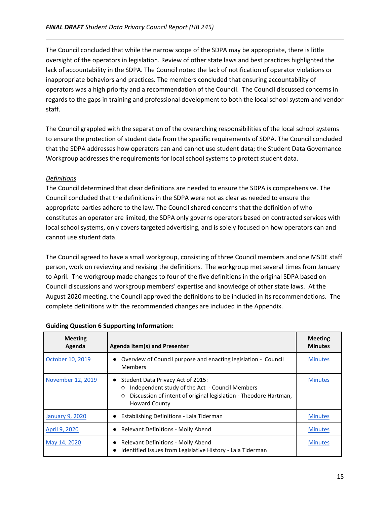The Council concluded that while the narrow scope of the SDPA may be appropriate, there is little oversight of the operators in legislation. Review of other state laws and best practices highlighted the lack of accountability in the SDPA. The Council noted the lack of notification of operator violations or inappropriate behaviors and practices. The members concluded that ensuring accountability of operators was a high priority and a recommendation of the Council. The Council discussed concerns in regards to the gaps in training and professional development to both the local school system and vendor staff.

The Council grappled with the separation of the overarching responsibilities of the local school systems to ensure the protection of student data from the specific requirements of SDPA. The Council concluded that the SDPA addresses how operators can and cannot use student data; the Student Data Governance Workgroup addresses the requirements for local school systems to protect student data.

# *Definitions*

The Council determined that clear definitions are needed to ensure the SDPA is comprehensive. The Council concluded that the definitions in the SDPA were not as clear as needed to ensure the appropriate parties adhere to the law. The Council shared concerns that the definition of who constitutes an operator are limited, the SDPA only governs operators based on contracted services with local school systems, only covers targeted advertising, and is solely focused on how operators can and cannot use student data.

The Council agreed to have a small workgroup, consisting of three Council members and one MSDE staff person, work on reviewing and revising the definitions. The workgroup met several times from January to April. The workgroup made changes to four of the five definitions in the original SDPA based on Council discussions and workgroup members' expertise and knowledge of other state laws. At the August 2020 meeting, the Council approved the definitions to be included in its recommendations. The complete definitions with the recommended changes are included in the Appendix.

| <b>Meeting</b><br>Agenda | <b>Agenda Item(s) and Presenter</b>                                                                                                                                                       | <b>Meeting</b><br><b>Minutes</b> |
|--------------------------|-------------------------------------------------------------------------------------------------------------------------------------------------------------------------------------------|----------------------------------|
| October 10, 2019         | Overview of Council purpose and enacting legislation - Council<br><b>Members</b>                                                                                                          | <b>Minutes</b>                   |
| November 12, 2019        | Student Data Privacy Act of 2015:<br>Independent study of the Act - Council Members<br>O<br>Discussion of intent of original legislation - Theodore Hartman,<br>O<br><b>Howard County</b> | <b>Minutes</b>                   |
| <b>January 9, 2020</b>   | Establishing Definitions - Laia Tiderman                                                                                                                                                  | <b>Minutes</b>                   |
| April 9, 2020            | <b>Relevant Definitions - Molly Abend</b>                                                                                                                                                 | <b>Minutes</b>                   |
| May 14, 2020             | <b>Relevant Definitions - Molly Abend</b><br>Identified Issues from Legislative History - Laia Tiderman                                                                                   | <b>Minutes</b>                   |

# **Guiding Question 6 Supporting Information:**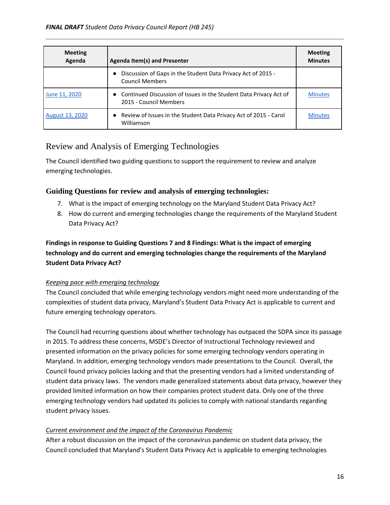| <b>Meeting</b><br>Agenda | Agenda Item(s) and Presenter                                                                  | <b>Meeting</b><br><b>Minutes</b> |
|--------------------------|-----------------------------------------------------------------------------------------------|----------------------------------|
|                          | Discussion of Gaps in the Student Data Privacy Act of 2015 -<br><b>Council Members</b>        |                                  |
| June 11, 2020            | • Continued Discussion of Issues in the Student Data Privacy Act of<br>2015 - Council Members | <b>Minutes</b>                   |
| <b>August 13, 2020</b>   | Review of Issues in the Student Data Privacy Act of 2015 - Carol<br>Williamson                | <b>Minutes</b>                   |

# <span id="page-17-0"></span>Review and Analysis of Emerging Technologies

The Council identified two guiding questions to support the requirement to review and analyze emerging technologies.

# **Guiding Questions for review and analysis of emerging technologies:**

- 7. What is the impact of emerging technology on the Maryland Student Data Privacy Act?
- 8. How do current and emerging technologies change the requirements of the Maryland Student Data Privacy Act?

# **Findings in response to Guiding Questions 7 and 8 Findings: What is the impact of emerging technology and do current and emerging technologies change the requirements of the Maryland Student Data Privacy Act?**

# *Keeping pace with emerging technology*

The Council concluded that while emerging technology vendors might need more understanding of the complexities of student data privacy, Maryland's Student Data Privacy Act is applicable to current and future emerging technology operators.

The Council had recurring questions about whether technology has outpaced the SDPA since its passage in 2015. To address these concerns, MSDE's Director of Instructional Technology reviewed and presented information on the privacy policies for some emerging technology vendors operating in Maryland. In addition, emerging technology vendors made presentations to the Council. Overall, the Council found privacy policies lacking and that the presenting vendors had a limited understanding of student data privacy laws. The vendors made generalized statements about data privacy, however they provided limited information on how their companies protect student data. Only one of the three emerging technology vendors had updated its policies to comply with national standards regarding student privacy issues.

# *Current environment and the impact of the Coronavirus Pandemic*

After a robust discussion on the impact of the coronavirus pandemic on student data privacy, the Council concluded that Maryland's Student Data Privacy Act is applicable to emerging technologies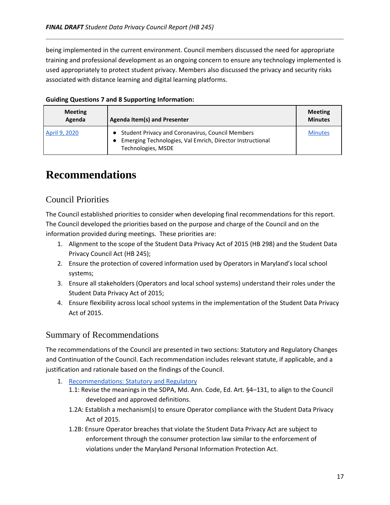being implemented in the current environment. Council members discussed the need for appropriate training and professional development as an ongoing concern to ensure any technology implemented is used appropriately to protect student privacy. Members also discussed the privacy and security risks associated with distance learning and digital learning platforms.

| <b>Meeting</b><br>Agenda | Agenda Item(s) and Presenter                                                                                                            | <b>Meeting</b><br><b>Minutes</b> |
|--------------------------|-----------------------------------------------------------------------------------------------------------------------------------------|----------------------------------|
| April 9, 2020            | • Student Privacy and Coronavirus, Council Members<br>• Emerging Technologies, Val Emrich, Director Instructional<br>Technologies, MSDE | <b>Minutes</b>                   |

# **Guiding Questions 7 and 8 Supporting Information:**

# <span id="page-18-0"></span>**Recommendations**

# <span id="page-18-1"></span>Council Priorities

The Council established priorities to consider when developing final recommendations for this report. The Council developed the priorities based on the purpose and charge of the Council and on the information provided during meetings. These priorities are:

- 1. Alignment to the scope of the Student Data Privacy Act of 2015 (HB 298) and the Student Data Privacy Council Act (HB 245);
- 2. Ensure the protection of covered information used by Operators in Maryland's local school systems;
- 3. Ensure all stakeholders (Operators and local school systems) understand their roles under the Student Data Privacy Act of 2015;
- 4. Ensure flexibility across local school systems in the implementation of the Student Data Privacy Act of 2015.

# <span id="page-18-2"></span>Summary of Recommendations

The recommendations of the Council are presented in two sections: Statutory and Regulatory Changes and Continuation of the Council. Each recommendation includes relevant statute, if applicable, and a justification and rationale based on the findings of the Council.

- 1. [Recommendations: Statutory and Regulatory](#page-19-0)
	- 1.1: Revise the meanings in the SDPA, Md. Ann. Code, Ed. Art. §4–131, to align to the Council developed and approved definitions.
	- 1.2A: Establish a mechanism(s) to ensure Operator compliance with the Student Data Privacy Act of 2015.
	- 1.2B: Ensure Operator breaches that violate the Student Data Privacy Act are subject to enforcement through the consumer protection law similar to the enforcement of violations under the Maryland Personal Information Protection Act.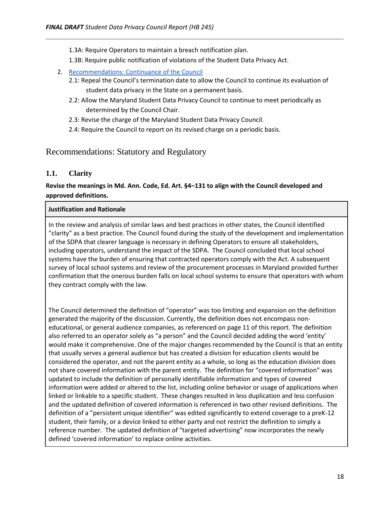- 1.3A: Require Operators to maintain a breach notification plan.
- 1.3B: Require public notification of violations of the Student Data Privacy Act.
- 2. [Recommendations: Continuance of the Council](#page-22-0)
	- 2.1: Repeal the Council's termination date to allow the Council to continue its evaluation of student data privacy in the State on a permanent basis.
	- 2.2: Allow the Maryland Student Data Privacy Council to continue to meet periodically as determined by the Council Chair.
	- 2.3: Revise the charge of the Maryland Student Data Privacy Council.
	- 2.4: Require the Council to report on its revised charge on a periodic basis.

# <span id="page-19-0"></span>Recommendations: Statutory and Regulatory

# **1.1. Clarity**

# **Revise the meanings in Md. Ann. Code, Ed. Art. §4–131 to align with the Council developed and approved definitions.**

## **Justification and Rationale**

In the review and analysis of similar laws and best practices in other states, the Council identified "clarity" as a best practice. The Council found during the study of the development and implementation of the SDPA that clearer language is necessary in defining Operators to ensure all stakeholders, including operators, understand the impact of the SDPA. The Council concluded that local school systems have the burden of ensuring that contracted operators comply with the Act. A subsequent survey of local school systems and review of the procurement processes in Maryland provided further confirmation that the onerous burden falls on local school systems to ensure that operators with whom they contract comply with the law.

The Council determined the definition of "operator" was too limiting and expansion on the definition generated the majority of the discussion. Currently, the definition does not encompass noneducational, or general audience companies, as referenced on page 11 of this report. The definition also referred to an operator solely as "a person" and the Council decided adding the word 'entity' would make it comprehensive. One of the major changes recommended by the Council is that an entity that usually serves a general audience but has created a division for education clients would be considered the operator, and not the parent entity as a whole, so long as the education division does not share covered information with the parent entity. The definition for "covered information" was updated to include the definition of personally identifiable information and types of covered information were added or altered to the list, including online behavior or usage of applications when linked or linkable to a specific student. These changes resulted in less duplication and less confusion and the updated definition of covered information is referenced in two other revised definitions. The definition of a "persistent unique identifier" was edited significantly to extend coverage to a preK-12 student, their family, or a device linked to either party and not restrict the definition to simply a reference number. The updated definition of "targeted advertising" now incorporates the newly defined 'covered information' to replace online activities.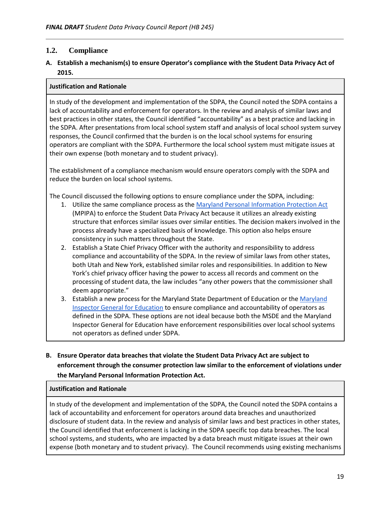# **1.2. Compliance**

# **A. Establish a mechanism(s) to ensure Operator's compliance with the Student Data Privacy Act of 2015.**

### **Justification and Rationale**

In study of the development and implementation of the SDPA, the Council noted the SDPA contains a lack of accountability and enforcement for operators. In the review and analysis of similar laws and best practices in other states, the Council identified "accountability" as a best practice and lacking in the SDPA. After presentations from local school system staff and analysis of local school system survey responses, the Council confirmed that the burden is on the local school systems for ensuring operators are compliant with the SDPA. Furthermore the local school system must mitigate issues at their own expense (both monetary and to student privacy).

The establishment of a compliance mechanism would ensure operators comply with the SDPA and reduce the burden on local school systems.

The Council discussed the following options to ensure compliance under the SDPA, including:

- 1. Utilize the same compliance process as the [Maryland Personal Information Protection Act](https://www.marylandattorneygeneral.gov/Pages/IdentityTheft/businessGL.aspx#:~:text=If%20a%20business%20experiences%20a,affected%20consumers%20residing%20in%20Maryland.&text=In%20the%20event%20of%20a%20security%20breach%2C%20notice%20must%20be,to%20consumers%20with%2045%20days.) (MPIPA) to enforce the Student Data Privacy Act because it utilizes an already existing structure that enforces similar issues over similar entities. The decision makers involved in the process already have a specialized basis of knowledge. This option also helps ensure consistency in such matters throughout the State.
- 2. Establish a State Chief Privacy Officer with the authority and responsibility to address compliance and accountability of the SDPA. In the review of similar laws from other states, both Utah and New York, established similar roles and responsibilities. In addition to New York's chief privacy officer having the power to access all records and comment on the processing of student data, the law includes "any other powers that the commissioner shall deem appropriate."
- 3. Establish a new process for the Maryland State Department of Education or the [Maryland](https://msa.maryland.gov/msa/mdmanual/25ind/html/47inspect.html)  [Inspector General for Education](https://msa.maryland.gov/msa/mdmanual/25ind/html/47inspect.html) to ensure compliance and accountability of operators as defined in the SDPA. These options are not ideal because both the MSDE and the Maryland Inspector General for Education have enforcement responsibilities over local school systems not operators as defined under SDPA.

# **B. Ensure Operator data breaches that violate the Student Data Privacy Act are subject to enforcement through the consumer protection law similar to the enforcement of violations under the Maryland Personal Information Protection Act.**

### **Justification and Rationale**

In study of the development and implementation of the SDPA, the Council noted the SDPA contains a lack of accountability and enforcement for operators around data breaches and unauthorized disclosure of student data. In the review and analysis of similar laws and best practices in other states, the Council identified that enforcement is lacking in the SDPA specific top data breaches. The local school systems, and students, who are impacted by a data breach must mitigate issues at their own expense (both monetary and to student privacy). The Council recommends using existing mechanisms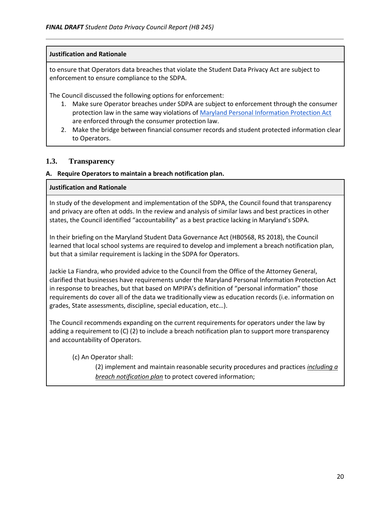### **Justification and Rationale**

to ensure that Operators data breaches that violate the Student Data Privacy Act are subject to enforcement to ensure compliance to the SDPA.

The Council discussed the following options for enforcement:

- 1. Make sure Operator breaches under SDPA are subject to enforcement through the consumer protection law in the same way violations of [Maryland Personal Information Protection Act](https://www.marylandattorneygeneral.gov/Pages/IdentityTheft/businessGL.aspx#:~:text=If%20a%20business%20experiences%20a,affected%20consumers%20residing%20in%20Maryland.&text=In%20the%20event%20of%20a%20security%20breach%2C%20notice%20must%20be,to%20consumers%20with%2045%20days.) are enforced through the consumer protection law.
- 2. Make the bridge between financial consumer records and student protected information clear to Operators.

## **1.3. Transparency**

### **A. Require Operators to maintain a breach notification plan.**

### **Justification and Rationale**

In study of the development and implementation of the SDPA, the Council found that transparency and privacy are often at odds. In the review and analysis of similar laws and best practices in other states, the Council identified "accountability" as a best practice lacking in Maryland's SDPA.

In their briefing on the Maryland Student Data Governance Act (HB0568, RS 2018), the Council learned that local school systems are required to develop and implement a breach notification plan, but that a similar requirement is lacking in the SDPA for Operators.

Jackie La Fiandra, who provided advice to the Council from the Office of the Attorney General, clarified that businesses have requirements under the Maryland Personal Information Protection Act in response to breaches, but that based on MPIPA's definition of "personal information" those requirements do cover all of the data we traditionally view as education records (i.e. information on grades, State assessments, discipline, special education, etc…).

The Council recommends expanding on the current requirements for operators under the law by adding a requirement to (C) (2) to include a breach notification plan to support more transparency and accountability of Operators.

(c) An Operator shall:

(2) implement and maintain reasonable security procedures and practices *including a breach notification plan* to protect covered information;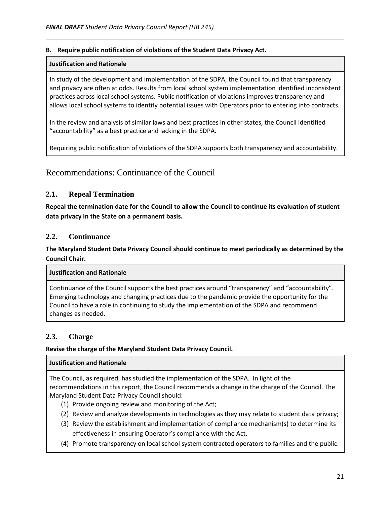### **B. Require public notification of violations of the Student Data Privacy Act.**

### **Justification and Rationale**

In study of the development and implementation of the SDPA, the Council found that transparency and privacy are often at odds. Results from local school system implementation identified inconsistent practices across local school systems. Public notification of violations improves transparency and allows local school systems to identify potential issues with Operators prior to entering into contracts.

In the review and analysis of similar laws and best practices in other states, the Council identified "accountability" as a best practice and lacking in the SDPA.

Requiring public notification of violations of the SDPA supports both transparency and accountability.

# <span id="page-22-0"></span>Recommendations: Continuance of the Council

# **2.1. Repeal Termination**

**Repeal the termination date for the Council to allow the Council to continue its evaluation of student data privacy in the State on a permanent basis.** 

# **2.2. Continuance**

**The Maryland Student Data Privacy Council should continue to meet periodically as determined by the Council Chair.** 

### **Justification and Rationale**

Continuance of the Council supports the best practices around "transparency" and "accountability". Emerging technology and changing practices due to the pandemic provide the opportunity for the Council to have a role in continuing to study the implementation of the SDPA and recommend changes as needed.

# **2.3. Charge**

# **Revise the charge of the Maryland Student Data Privacy Council.**

### **Justification and Rationale**

The Council, as required, has studied the implementation of the SDPA. In light of the recommendations in this report, the Council recommends a change in the charge of the Council. The Maryland Student Data Privacy Council should:

- (1) Provide ongoing review and monitoring of the Act;
- (2) Review and analyze developments in technologies as they may relate to student data privacy;
- (3) Review the establishment and implementation of compliance mechanism(s) to determine its effectiveness in ensuring Operator's compliance with the Act.
- (4) Promote transparency on local school system contracted operators to families and the public.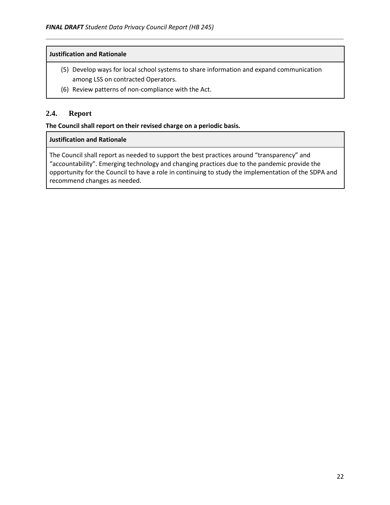### **Justification and Rationale**

- (5) Develop ways for local school systems to share information and expand communication among LSS on contracted Operators.
- (6) Review patterns of non-compliance with the Act.

# **2.4. Report**

### **The Council shall report on their revised charge on a periodic basis.**

### **Justification and Rationale**

The Council shall report as needed to support the best practices around "transparency" and "accountability". Emerging technology and changing practices due to the pandemic provide the opportunity for the Council to have a role in continuing to study the implementation of the SDPA and recommend changes as needed.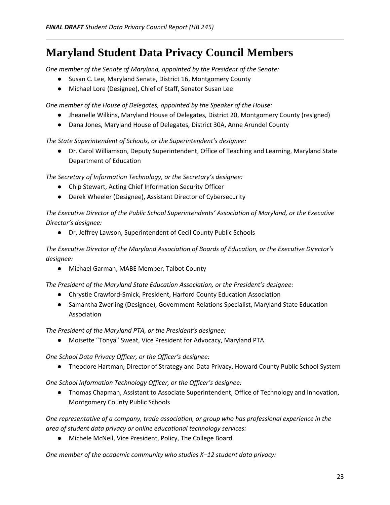# <span id="page-24-0"></span>**Maryland Student Data Privacy Council Members**

*One member of the Senate of Maryland, appointed by the President of the Senate:*

- Susan C. Lee, Maryland Senate, District 16, Montgomery County
- Michael Lore (Designee), Chief of Staff, Senator Susan Lee

*One member of the House of Delegates, appointed by the Speaker of the House:*

- Jheanelle Wilkins, Maryland House of Delegates, District 20, Montgomery County (resigned)
- Dana Jones, Maryland House of Delegates, District 30A, Anne Arundel County

*The State Superintendent of Schools, or the Superintendent's designee:*

● Dr. Carol Williamson, Deputy Superintendent, Office of Teaching and Learning, Maryland State Department of Education

*The Secretary of Information Technology, or the Secretary's designee:*

- Chip Stewart, Acting Chief Information Security Officer
- Derek Wheeler (Designee), Assistant Director of Cybersecurity

*The Executive Director of the Public School Superintendents' Association of Maryland, or the Executive Director's designee:*

● Dr. Jeffrey Lawson, Superintendent of Cecil County Public Schools

*The Executive Director of the Maryland Association of Boards of Education, or the Executive Director's designee:*

● Michael Garman, MABE Member, Talbot County

*The President of the Maryland State Education Association, or the President's designee:*

- Chrystie Crawford-Smick, President, Harford County Education Association
- Samantha Zwerling (Designee), Government Relations Specialist, Maryland State Education Association

*The President of the Maryland PTA, or the President's designee:*

● Moisette "Tonya" Sweat, Vice President for Advocacy, Maryland PTA

*One School Data Privacy Officer, or the Officer's designee:*

● Theodore Hartman, Director of Strategy and Data Privacy, Howard County Public School System

*One School Information Technology Officer, or the Officer's designee:*

● Thomas Chapman, Assistant to Associate Superintendent, Office of Technology and Innovation, Montgomery County Public Schools

*One representative of a company, trade association, or group who has professional experience in the area of student data privacy or online educational technology services:*

● Michele McNeil, Vice President, Policy, The College Board

*One member of the academic community who studies K–12 student data privacy:*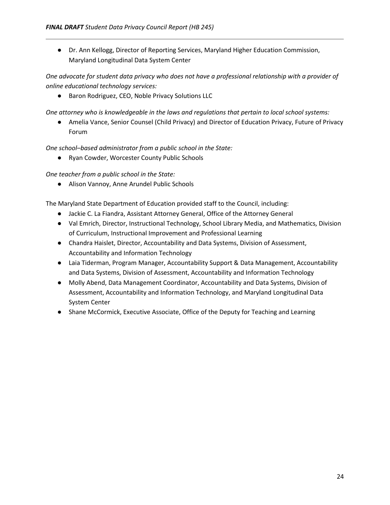● Dr. Ann Kellogg, Director of Reporting Services, Maryland Higher Education Commission, Maryland Longitudinal Data System Center

*One advocate for student data privacy who does not have a professional relationship with a provider of online educational technology services:*

● Baron Rodriguez, CEO, Noble Privacy Solutions LLC

*One attorney who is knowledgeable in the laws and regulations that pertain to local school systems:*

● Amelia Vance, Senior Counsel (Child Privacy) and Director of Education Privacy, Future of Privacy Forum

*One school–based administrator from a public school in the State:*

● Ryan Cowder, Worcester County Public Schools

*One teacher from a public school in the State:*

● Alison Vannoy, Anne Arundel Public Schools

The Maryland State Department of Education provided staff to the Council, including:

- Jackie C. La Fiandra, Assistant Attorney General, Office of the Attorney General
- Val Emrich, Director, Instructional Technology, School Library Media, and Mathematics, Division of Curriculum, Instructional Improvement and Professional Learning
- Chandra Haislet, Director, Accountability and Data Systems, Division of Assessment, Accountability and Information Technology
- Laia Tiderman, Program Manager, Accountability Support & Data Management, Accountability and Data Systems, Division of Assessment, Accountability and Information Technology
- Molly Abend, Data Management Coordinator, Accountability and Data Systems, Division of Assessment, Accountability and Information Technology, and Maryland Longitudinal Data System Center
- Shane McCormick, Executive Associate, Office of the Deputy for Teaching and Learning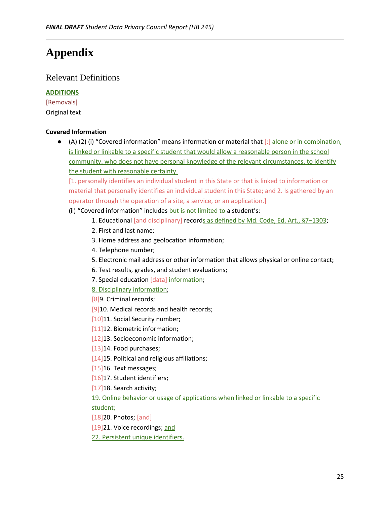# <span id="page-26-0"></span>**Appendix**

# Relevant Definitions

# **ADDITIONS**

[Removals] Original text

# **Covered Information**

● (A) (2) (i) "Covered information" means information or material that [:] alone or in combination, is linked or linkable to a specific student that would allow a reasonable person in the school community, who does not have personal knowledge of the relevant circumstances, to identify the student with reasonable certainty.

[1. personally identifies an individual student in this State or that is linked to information or material that personally identifies an individual student in this State; and 2. Is gathered by an operator through the operation of a site, a service, or an application.]

- (ii) "Covered information" includes but is not limited to a student's:
	- 1. Educational [and disciplinary] records as defined by Md. Code, Ed. Art., §7-1303;
	- 2. First and last name;
	- 3. Home address and geolocation information;
	- 4. Telephone number;
	- 5. Electronic mail address or other information that allows physical or online contact;
	- 6. Test results, grades, and student evaluations;
	- 7. Special education [data] information;
	- 8. Disciplinary information;
	- [8]9. Criminal records;
	- [9]10. Medical records and health records;
	- [10]11. Social Security number;
	- [11]12. Biometric information;
	- [12]13. Socioeconomic information;
	- [13]14. Food purchases;
	- [14]15. Political and religious affiliations;
	- [15]16. Text messages;
	- [16]17. Student identifiers;
	- [17] 18. Search activity;

# 19. Online behavior or usage of applications when linked or linkable to a specific student;

- [18]20. Photos; [and]
- [19]21. Voice recordings; and
- 22. Persistent unique identifiers.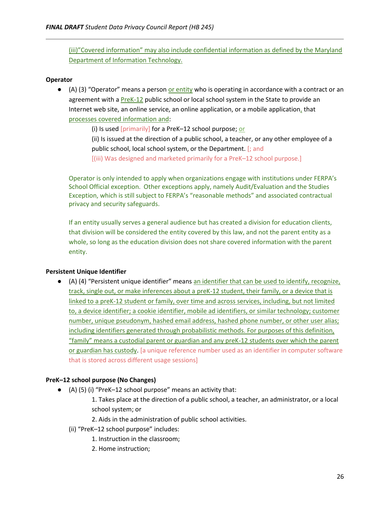(iii)"Covered information" may also include confidential information as defined by the Maryland Department of Information Technology.

### **Operator**

● (A) (3) "Operator" means a person or entity who is operating in accordance with a contract or an agreement with a PreK-12 public school or local school system in the State to provide an Internet web site, an online service, an online application, or a mobile application, that processes covered information and:

> (i) Is used [primarily] for a PreK–12 school purpose; or (ii) Is issued at the direction of a public school, a teacher, or any other employee of a public school, local school system, or the Department. [; and [(iii) Was designed and marketed primarily for a PreK–12 school purpose.]

Operator is only intended to apply when organizations engage with institutions under FERPA's School Official exception. Other exceptions apply, namely Audit/Evaluation and the Studies Exception, which is still subject to FERPA's "reasonable methods" and associated contractual privacy and security safeguards.

If an entity usually serves a general audience but has created a division for education clients, that division will be considered the entity covered by this law, and not the parent entity as a whole, so long as the education division does not share covered information with the parent entity.

### **Persistent Unique Identifier**

● (A) (4) "Persistent unique identifier" means an identifier that can be used to identify, recognize, track, single out, or make inferences about a preK-12 student, their family, or a device that is linked to a preK-12 student or family, over time and across services, including, but not limited to, a device identifier; a cookie identifier, mobile ad identifiers, or similar technology; customer number, unique pseudonym, hashed email address, hashed phone number, or other user alias; including identifiers generated through probabilistic methods. For purposes of this definition, "family" means a custodial parent or guardian and any preK-12 students over which the parent or guardian has custody. [a unique reference number used as an identifier in computer software that is stored across different usage sessions]

#### **PreK–12 school purpose (No Changes)**

- (A) (5) (i) "PreK–12 school purpose" means an activity that:
	- 1. Takes place at the direction of a public school, a teacher, an administrator, or a local school system; or
	- 2. Aids in the administration of public school activities.
	- (ii) "PreK–12 school purpose" includes:
		- 1. Instruction in the classroom;
		- 2. Home instruction;